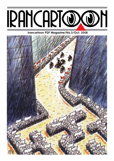# RANCARTOXON

**Irancartoon PDF Magazine/No.3/Oct. 2008** 

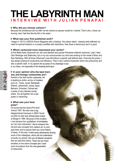# **INTERVIWE WITH JULIAN PENAPAI**

#### **• Why did you choose cartoon?**

Because the architecture did not offer me the chance to express myself as I wished. That is why I chose car-<br>tooning, here I feel free like the fish in the water.

#### **• What was your first published work?**

I began in 1973 in URZICA Humor Magazine with a drawing - the classic island - drawing what reflected my need for spiritual freedom in a society overfilled with restrictions. Now there is democracy and it is good.

#### **• Which cartoonist more impressed your works?**

At first Matty Aslan influenced me, the most talented and popular Romanian editorial cartoonist. Later I liked Oton Reisinger and Zlatkovsky, but in my sub consciousness my mind was working on the model of Bosc and Saul Steinberg. With all those influenced I was left without a specific well defined style. Chancing the prizes, I was always looking for productivity and efficiency. Thas is why I admire Kosobukin which has productivity and also a specific style. In my opinion the success of my drawings is due to my ideas, not especially to the drawing technique. THE RICHAR COMPRESSION CONTRACT COMPRESSION CONTRACT CONTRACT CONTRACT CONTRACT CONTRACT CONTRACT CONTRACT CONTRACT CONTRACT CONTRACT CONTRACT CONTRACT CONTRACT CONTRACT CONTRACT CONTRACT CONTRACT CONTRACT CONTRACT CONTRAC

### **e n i z a g a M F D P 0 02 . t c O . 3 . o N**

#### ans and foreign cartoonists are? In your opinion who the best Irani-

Kambiz is the best Iranian cartoonist. He is leading an entire «army» of masters such as : Touka, Javad, Baniasadi, Shahidi, Jahanshahi, Jamal, Azimi, Bahrami, Divandari, Farhad and a series of very talented young artists. You all together are a real power in cartooning.

#### **• What was your best ?prize**

Of course that the Grand Prix from Yomiuri 1991. But also was a big disappointment because in 2000 I found out that my idea was already been drawn at Skopje in 1984. Because of this incident, I now became the «godfather» of similarities as I am now nicknamed. I like to research the pare them and to expose them as a true History old and new concepts from cartoon art, to comof Ideas. In this way I made some adversaries among some of the colleagues, which did not understand correctly my actions. But you all please recognize that we need this history. There are too many remakes on the same concepts and I want more innovations from the new generation of cartoonists.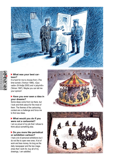



## ▶ What was your best car-<br>toon?

It is hard for me to choose from «The time tunnel» (Yomiuri 1989), «Quo vadis» (N.Hodja 2000) and «Labyrinth» (Tehran 1997). Maybe you can tell me your opinion!

#### **In idea in idea in idea in your dreams?**

Some ideas come from Up there, but I look and think about for the most of them. The themes of the cartooning contest are a challenge and force me to find new ideas.

#### **Video What would you do if you were not a cartoonist?**

I am so proud of my job that I refuse to think about something else.

#### **• Do you more like periodical or exhibition cartoon?**

I had a lot of personal exhibitions but I do not like to open new ones. A lot of work and less money. As long as the zines that I work for, buy all of my daily newspaper and the two magadrawings, I am satisfied.



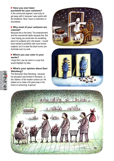#### **• Have you ever been** punished for your cartoons?

In the communist regimen I was lucky to get away with it, because I was careful with the limitations. Now I have no restriction or .boundaries

#### $\blacktriangleright$  **Why most of your cartoons are ?colored**

Because this is the trend. The entertainment and the commercial habits requests this. But I was hoping you would ask me something about my subjects and I will answer : I would have wanted a portofolio with more funnier subjects, but it is clear the black humor pre-<br>dominate over my work.

#### **Video Which you use color in your ?works**

I hope that I use my colors in a way that would highlight my idea.

#### **• What's your opinion about Saul ?Steinberg**

The Romanian Saul Steinberg - because his education was formed in Romania - is the «father» of the modern cartoon art. He helped us to make a 50 years leap in the future of cartooning. A genius!







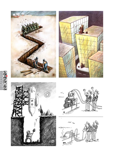

**e n i z a g a M F D P**

**2 . t c O . 3 . o N**

 **00**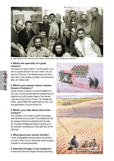

▲ Julian Penapai in the Iranian House of Cartoon, among some of Iran's Professional cartoonists

#### **• What's the specialty of a good ?cartoon**

toon is a good cartoon if you can «read» it as you The recipe of a good cartoon ? As the poster, a carpass by in the bus. If the drawing does not have a clear idea, it has nothing. A cartoon lives through its idea, as I always said.

#### **• What's your opinion about «Iranian House of Cartoon»?**

Iranian House of Cartoon is a launch platform for all of you, and by the international contests that you organize you build a great image of Iran abroad. I owe very much to this «House». On Google and Yahoo, Julian PENA-PAI exists thanks to you, and this appreciation of yours honors me.

#### $\blacktriangleright$  **What's your idea about site of Iran ?Cartoon**

Your website is very useful, dynamic and always well informed and up to date. The professional and the amateur finds here everything that he looks for. The team of Massoud Shojai is always up to the standard, and Massoud is the right man on the right spot.

#### $\blacktriangleright$  **What about your Iranian friends?**

I have unforgettable memories about you all from my visit in 2004. And our friendship resists because is based on mutual appreciation.

#### **P** Describe Penapai in one sentence?

A cartoonists that lives happily through cartooning.